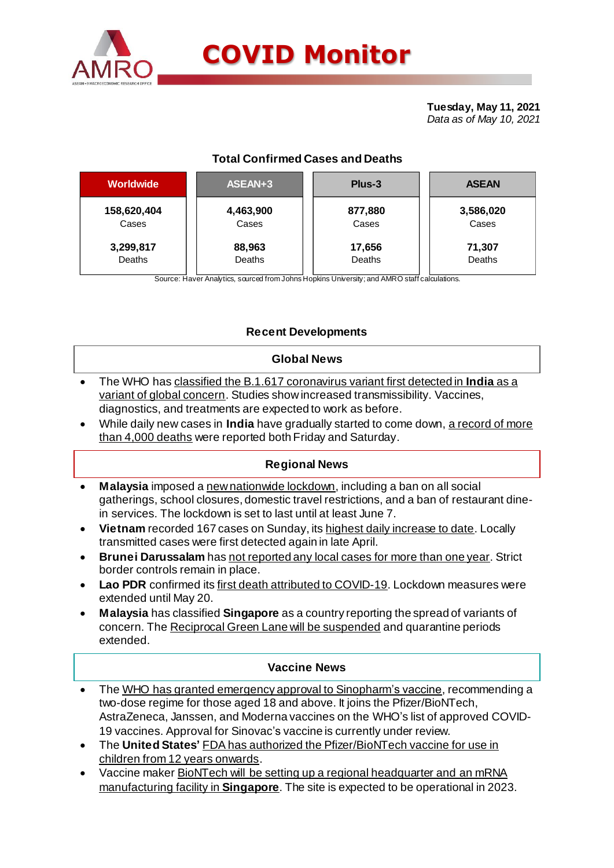

# **COVID Monitor**

**Tuesday, May 11, 2021** *Data as of May 10, 2021*

# **Total Confirmed Cases and Deaths**

| <b>Worldwide</b> | ASEAN+3   | Plus-3  | <b>ASEAN</b> |  |  |
|------------------|-----------|---------|--------------|--|--|
| 158,620,404      | 4,463,900 | 877,880 | 3,586,020    |  |  |
| Cases            | Cases     | Cases   | Cases        |  |  |
| 3,299,817        | 88,963    | 17,656  | 71,307       |  |  |
| Deaths           | Deaths    | Deaths  | Deaths       |  |  |

Source: Haver Analytics, sourced from Johns Hopkins University; and AMRO staff calculations.

## **Recent Developments**

## **Global News**

- The WHO has classified the B.1.617 coronavirus variant first detected in **India** as a variant of global concern. Studies show increased transmissibility. Vaccines, diagnostics, and treatments are expected to work as before.
- While daily new cases in **India** have gradually started to come down, a record of more than 4,000 deaths were reported both Friday and Saturday.

## **Regional News**

- **Malaysia** imposed a new nationwide lockdown, including a ban on all social gatherings, school closures, domestic travel restrictions, and a ban of restaurant dinein services. The lockdown is set to last until at least June 7.
- **Vietnam** recorded 167 cases on Sunday, its highest daily increase to date. Locally transmitted cases were first detected again in late April.
- **Brunei Darussalam** has not reported any local cases for more than one year. Strict border controls remain in place.
- **Lao PDR** confirmed its first death attributed to COVID-19. Lockdown measures were extended until May 20.
- **Malaysia** has classified **Singapore** as a country reporting the spread of variants of concern. The Reciprocal Green Lane will be suspended and quarantine periods extended.

#### **Vaccine News**

- The WHO has granted emergency approval to Sinopharm's vaccine, recommending a two-dose regime for those aged 18 and above. It joins the Pfizer/BioNTech, AstraZeneca, Janssen, and Moderna vaccines on the WHO's list of approved COVID-19 vaccines. Approval for Sinovac's vaccine is currently under review.
- The **United States'** FDA has authorized the Pfizer/BioNTech vaccine for use in children from 12 years onwards.
- Vaccine maker BioNTech will be setting up a regional headquarter and an mRNA manufacturing facility in **Singapore**. The site is expected to be operational in 2023.